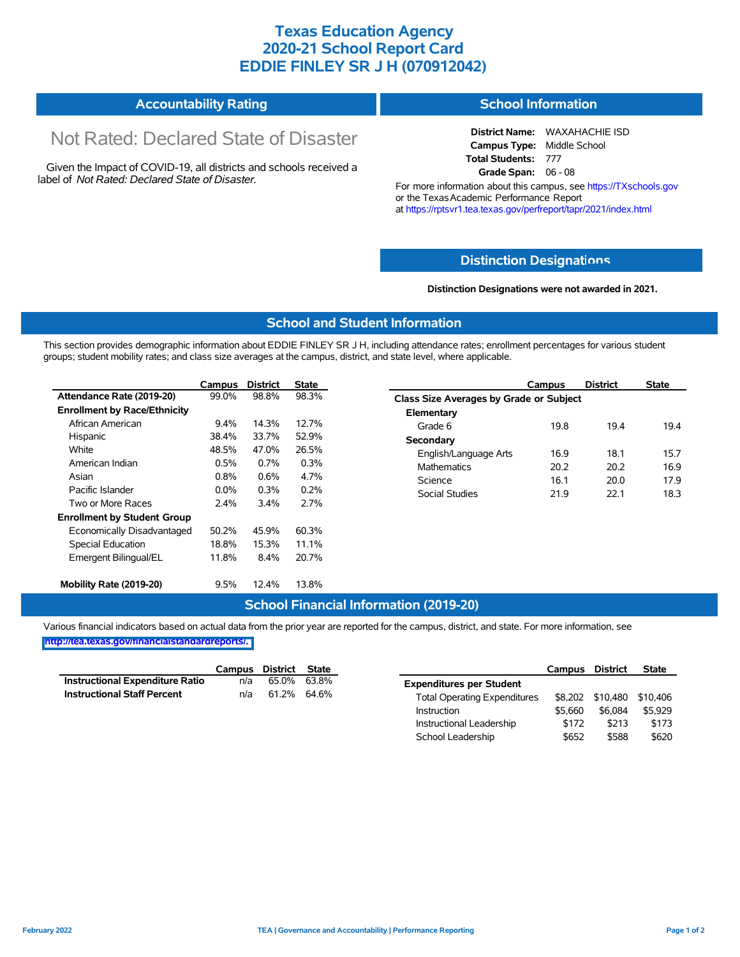## **Texas Education Agency 2020-21 School Report Card EDDIE FINLEY SR J H (070912042)**

#### **Accountability Rating School Information**

# Not Rated: Declared State of Disaster

Given the Impact of COVID-19, all districts and schools received a label of *Not Rated: Declared State of Disaster.*

**District Name:** WAXAHACHIE ISD **Campus Type:** Middle School Total Students: 777 **Grade Span:** 06 - 08

For more information about this campus, see https://TXschools.gov or the Texas Academic Performance Report at https://rptsvr1.tea.texas.gov/perfreport/tapr/2021/index.html

#### **Distinction Designat[ions](https://TXschools.gov)**

**Distinction Designations were not awarded in 2021.**

School Leadership  $$652$  \$588 \$620

#### **School and Student Information**

This section provides demographic information about EDDIE FINLEY SR J H, including attendance rates; enrollment percentages for various student groups; student mobility rates; and class size averages at the campus, district, and state level, where applicable.

|                                     | Campus                                           | <b>District</b> | <b>State</b> | Campus                 | <b>District</b>                         | <b>State</b> |  |  |  |  |  |
|-------------------------------------|--------------------------------------------------|-----------------|--------------|------------------------|-----------------------------------------|--------------|--|--|--|--|--|
| Attendance Rate (2019-20)           | 99.0%                                            | 98.8%           | 98.3%        |                        | Class Size Averages by Grade or Subject |              |  |  |  |  |  |
| <b>Enrollment by Race/Ethnicity</b> |                                                  |                 |              | Elementary             |                                         |              |  |  |  |  |  |
| African American                    | 9.4%                                             | 14.3%           | 12.7%        | 19.8<br>Grade 6        | 19.4                                    | 19.4         |  |  |  |  |  |
| Hispanic                            | 38.4%                                            | 33.7%           | 52.9%        | Secondary              |                                         |              |  |  |  |  |  |
| White                               | 48.5%<br>47.0%<br>26.5%<br>English/Language Arts |                 |              |                        | 18.1                                    | 15.7         |  |  |  |  |  |
| American Indian                     | 0.5%<br>0.7%<br>0.3%<br><b>Mathematics</b>       | 20.2            | 20.2         | 16.9                   |                                         |              |  |  |  |  |  |
| Asian                               | 4.7%<br>0.8%<br>0.6%<br>Science                  |                 | 16.1         | 20.0                   | 17.9                                    |              |  |  |  |  |  |
| Pacific Islander                    | $0.0\%$                                          | 0.3%            | 0.2%         | Social Studies<br>21.9 | 22.1                                    | 18.3         |  |  |  |  |  |
| Two or More Races                   | 2.4%                                             | 3.4%            | 2.7%         |                        |                                         |              |  |  |  |  |  |
| <b>Enrollment by Student Group</b>  |                                                  |                 |              |                        |                                         |              |  |  |  |  |  |
| Economically Disadvantaged          | 50.2%                                            | 45.9%           | 60.3%        |                        |                                         |              |  |  |  |  |  |
| Special Education                   | 18.8%                                            | 15.3%           | 11.1%        |                        |                                         |              |  |  |  |  |  |
| Emergent Bilingual/EL               | 11.8%                                            | 8.4%            | 20.7%        |                        |                                         |              |  |  |  |  |  |
| Mobility Rate (2019-20)             | 9.5%                                             | 12.4%           | 13.8%        |                        |                                         |              |  |  |  |  |  |

#### **School Financial Information (2019-20)**

Various financial indicators based on actual data from the prior year are reported for the campus, district, and state. For more information, see

**[http://tea.texas.gov/financialstandardreports/.](http://tea.texas.gov/financialstandardreports/)**

|                                        | Campus | District | State       |                                     | Campus  | <b>District</b>  | <b>State</b> |
|----------------------------------------|--------|----------|-------------|-------------------------------------|---------|------------------|--------------|
| <b>Instructional Expenditure Ratio</b> | n/a    | 65.0%    | 63.8%       | <b>Expenditures per Student</b>     |         |                  |              |
| <b>Instructional Staff Percent</b>     | n/a    |          | 61.2% 64.6% | <b>Total Operating Expenditures</b> |         | \$8,202 \$10,480 | \$10.406     |
|                                        |        |          |             | Instruction                         | \$5.660 | \$6.084          | \$5,929      |
|                                        |        |          |             | Instructional Leadership            | \$172   | \$213            | \$173        |